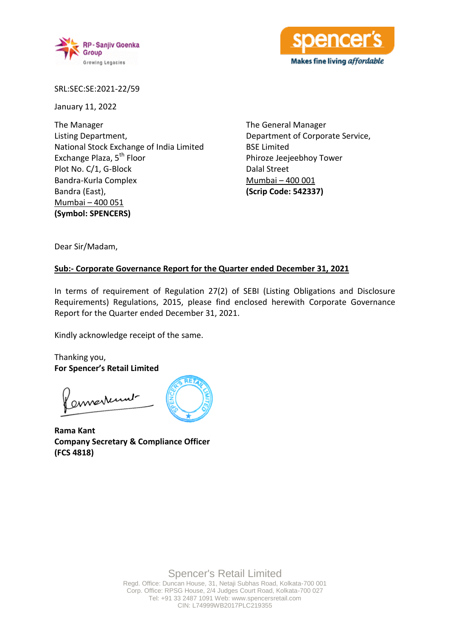



SRL:SEC:SE:2021-22/59

January 11, 2022

The Manager Listing Department, National Stock Exchange of India Limited Exchange Plaza, 5<sup>th</sup> Floor Plot No. C/1, G-Block Bandra-Kurla Complex Bandra (East), Mumbai – 400 051 **(Symbol: SPENCERS)**

The General Manager Department of Corporate Service, BSE Limited Phiroze Jeejeebhoy Tower Dalal Street Mumbai – 400 001 **(Scrip Code: 542337)**

Dear Sir/Madam,

### **Sub:- Corporate Governance Report for the Quarter ended December 31, 2021**

In terms of requirement of Regulation 27(2) of SEBI (Listing Obligations and Disclosure Requirements) Regulations, 2015, please find enclosed herewith Corporate Governance Report for the Quarter ended December 31, 2021.

Kindly acknowledge receipt of the same.

Thanking you, **For Spencer's Retail Limited**

ennerkunt

**Rama Kant Company Secretary & Compliance Officer (FCS 4818)**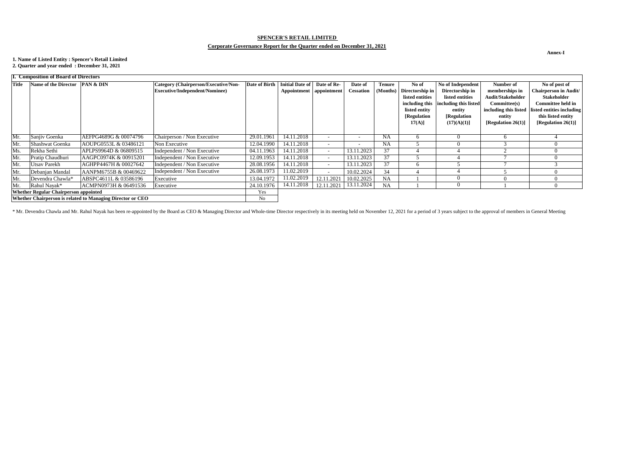#### **Annex-I**

| L. Composition of Board of Directors                       |                                           |                       |                                      |                      |                           |                          |                          |               |                 |                       |                       |                                                 |
|------------------------------------------------------------|-------------------------------------------|-----------------------|--------------------------------------|----------------------|---------------------------|--------------------------|--------------------------|---------------|-----------------|-----------------------|-----------------------|-------------------------------------------------|
| <b>Title</b>                                               | Name of the Director <b>PAN &amp; DIN</b> |                       | Category (Chairperson/Executive/Non- | <b>Date of Birth</b> | <b>Initial Date of</b>    | Date of Re-              | Date of                  | <b>Tenure</b> | No of           | No of Independent     | Number of             | No of post of                                   |
|                                                            |                                           |                       | Executive/Independent/Nominee)       |                      | Appointment   appointment |                          | <b>Cessation</b>         | (Months)      | Directorship in | Directorship in       | memberships in        | <b>Chairperson in Audit/</b>                    |
|                                                            |                                           |                       |                                      |                      |                           |                          |                          |               | listed entities | listed entities       | Audit/Stakeholder     | <b>Stakeholder</b>                              |
|                                                            |                                           |                       |                                      |                      |                           |                          |                          |               | including this  | including this listed | Commitee(s)           | <b>Committee held in</b>                        |
|                                                            |                                           |                       |                                      |                      |                           |                          |                          |               | listed entity   | entity                |                       | including this listed listed entities including |
|                                                            |                                           |                       |                                      |                      |                           |                          |                          |               | [Regulation]    | [Regulation]          | entity                | this listed entity                              |
|                                                            |                                           |                       |                                      |                      |                           |                          |                          |               | $17(A)$ ]       | (17)(A)(1)            | [Regulation $26(1)$ ] | [Regulation 26(1)]                              |
|                                                            |                                           |                       |                                      |                      |                           |                          |                          |               |                 |                       |                       |                                                 |
| Mr.                                                        | Sanjiy Goenka                             | AEFPG4689G & 00074796 | Chairperson / Non Executive          | 29.01.1961           | 14.11.2018                |                          | $\overline{\phantom{a}}$ | <b>NA</b>     |                 |                       |                       |                                                 |
| Mr.                                                        | Shashwat Goenka                           | AOUPG0553L & 03486121 | Non Executive                        | 12.04.1990           | 14.11.2018                |                          | $\overline{\phantom{0}}$ | <b>NA</b>     |                 |                       |                       |                                                 |
| Ms.                                                        | Rekha Sethi                               | APLPS9964D & 06809515 | Independent / Non Executive          | 04.11.1963           | 14.11.2018                | $\sim$                   | 13.11.2023               | 37            |                 |                       |                       |                                                 |
| Mr.                                                        | Pratip Chaudhuri                          | AAGPC0974K & 00915201 | Independent / Non Executive          | 12.09.1953           | 14.11.2018                | $\sim$                   | 13.11.2023               | 37            |                 |                       |                       |                                                 |
| Mr.                                                        | Utsav Parekh                              | AGHPP4467H & 00027642 | Independent / Non Executive          | 28.08.1956           | 14.11.2018                | $\overline{\phantom{a}}$ | 13.11.2023               | 37            |                 |                       |                       |                                                 |
| Mr.                                                        | Debanjan Mandal                           | AANPM6755B & 00469622 | Independent / Non Executive          | 26.08.1973           | 11.02.2019                |                          | 10.02.2024               | 34            |                 |                       |                       |                                                 |
| Mr.                                                        | Devendra Chawla*                          | ABSPC4611L & 03586196 | Executive                            | 13.04.1972           | 11.02.2019                | 12.11.2021               | 10.02.2025               | <b>NA</b>     |                 |                       |                       |                                                 |
| Mr.                                                        | Rahul Nayak*                              | ACMPN0973H & 06491536 | Executive                            | 24.10.1976           | 14.11.2018                | 12.11.2021               | 13.11.2024               | <b>NA</b>     |                 |                       |                       |                                                 |
| <b>Whether Regular Chairperson appointed</b>               |                                           |                       |                                      | Yes                  |                           |                          |                          |               |                 |                       |                       |                                                 |
| Whether Chairperson is related to Managing Director or CEO |                                           |                       |                                      | No                   |                           |                          |                          |               |                 |                       |                       |                                                 |

\* Mr. Devendra Chawla and Mr. Rahul Nayak has been re-appointed by the Board as CEO & Managing Director and Whole-time Director respectively in its meeting held on November 12, 2021 for a period of 3 years subject to the a

# **SPENCER'S RETAIL LIMITED**

# **Corporate Governance Report for the Quarter ended on December 31, 2021**

# **1. Name of Listed Entity : Spencer's Retail Limited**

**2. Quarter and year ended : December 31, 2021**

## **I. Composition of Board of Directors**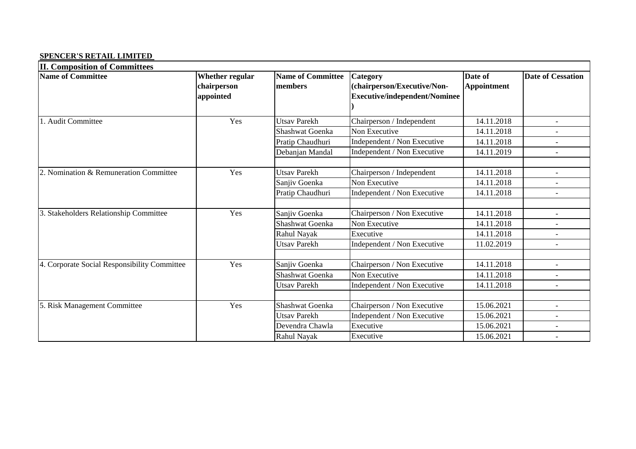#### **SPENCER'S RETAIL LIMITED**

| <b>II. Composition of Committees</b>         |                        |                          |                                      |                    |                          |
|----------------------------------------------|------------------------|--------------------------|--------------------------------------|--------------------|--------------------------|
| <b>Name of Committee</b>                     | <b>Whether regular</b> | <b>Name of Committee</b> | <b>Category</b>                      | Date of            | <b>Date of Cessation</b> |
|                                              | chairperson            | members                  | (chairperson/Executive/Non-          | <b>Appointment</b> |                          |
|                                              | appointed              |                          | <b>Executive/independent/Nominee</b> |                    |                          |
|                                              |                        |                          |                                      |                    |                          |
| 1. Audit Committee                           | Yes                    | <b>Utsav Parekh</b>      | Chairperson / Independent            | 14.11.2018         |                          |
|                                              |                        | Shashwat Goenka          | Non Executive                        | 14.11.2018         |                          |
|                                              |                        | Pratip Chaudhuri         | Independent / Non Executive          | 14.11.2018         |                          |
|                                              |                        | Debanjan Mandal          | Independent / Non Executive          | 14.11.2019         | $\overline{\phantom{a}}$ |
|                                              |                        |                          |                                      |                    |                          |
| 2. Nomination & Remuneration Committee       | Yes                    | <b>Utsav Parekh</b>      | Chairperson / Independent            | 14.11.2018         | $\overline{\phantom{a}}$ |
|                                              |                        | Sanjiv Goenka            | Non Executive                        | 14.11.2018         | $\blacksquare$           |
|                                              |                        | Pratip Chaudhuri         | Independent / Non Executive          | 14.11.2018         |                          |
|                                              |                        |                          |                                      |                    |                          |
| 3. Stakeholders Relationship Committee       | Yes                    | Sanjiv Goenka            | Chairperson / Non Executive          | 14.11.2018         |                          |
|                                              |                        | Shashwat Goenka          | Non Executive                        | 14.11.2018         | $\overline{\phantom{a}}$ |
|                                              |                        | Rahul Nayak              | Executive                            | 14.11.2018         |                          |
|                                              |                        | <b>Utsav Parekh</b>      | Independent / Non Executive          | 11.02.2019         |                          |
|                                              |                        |                          |                                      |                    |                          |
| 4. Corporate Social Responsibility Committee | Yes                    | Sanjiv Goenka            | Chairperson / Non Executive          | 14.11.2018         |                          |
|                                              |                        | Shashwat Goenka          | Non Executive                        | 14.11.2018         |                          |
|                                              |                        | <b>Utsav Parekh</b>      | Independent / Non Executive          | 14.11.2018         |                          |
|                                              |                        |                          |                                      |                    |                          |
| 5. Risk Management Committee                 | Yes                    | Shashwat Goenka          | Chairperson / Non Executive          | 15.06.2021         |                          |
|                                              |                        | <b>Utsav Parekh</b>      | Independent / Non Executive          | 15.06.2021         |                          |
|                                              |                        | Devendra Chawla          | Executive                            | 15.06.2021         | $\overline{\phantom{a}}$ |
|                                              |                        | Rahul Nayak              | Executive                            | 15.06.2021         |                          |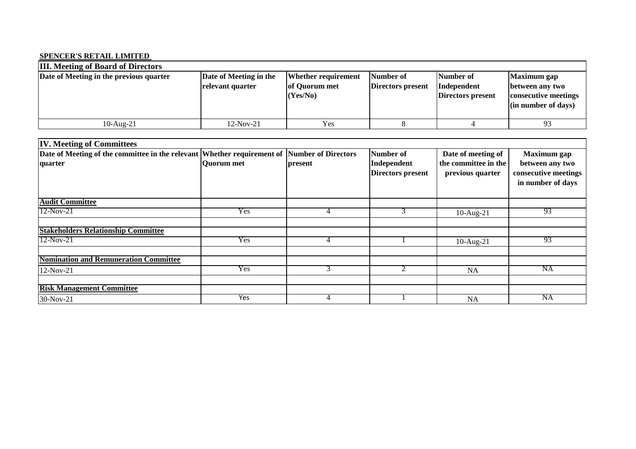## **SPENCER'S RETAIL LIMITED**

| <b>III.</b> Meeting of Board of Directors |                                            |                                                         |                                |                                               |                                                                                  |  |  |
|-------------------------------------------|--------------------------------------------|---------------------------------------------------------|--------------------------------|-----------------------------------------------|----------------------------------------------------------------------------------|--|--|
| Date of Meeting in the previous quarter   | Date of Meeting in the<br>relevant quarter | <b>Whether requirement</b><br>of Quorum met<br>(Yes/No) | Number of<br>Directors present | Number of<br>Independent<br>Directors present | Maximum gap<br>between any two<br>consecutive meetings<br>$\sin$ number of days) |  |  |
| $10$ -Aug- $21$                           | 12-Nov-21                                  | Yes                                                     |                                |                                               | 93                                                                               |  |  |

| <b>IV. Meeting of Committees</b>                                                            |            |         |                                         |                                          |                                                              |  |
|---------------------------------------------------------------------------------------------|------------|---------|-----------------------------------------|------------------------------------------|--------------------------------------------------------------|--|
| Date of Meeting of the committee in the relevant Whether requirement of Number of Directors |            |         | Number of                               | Date of meeting of                       | <b>Maximum</b> gap                                           |  |
| quarter                                                                                     | Quorum met | present | Independent<br><b>Directors present</b> | the committee in the<br>previous quarter | between any two<br>consecutive meetings<br>in number of days |  |
| <b>Audit Committee</b>                                                                      |            |         |                                         |                                          |                                                              |  |
| $12-Nov-21$                                                                                 | <b>Yes</b> | 4       | 3                                       | $10-Aug-21$                              | 93                                                           |  |
|                                                                                             |            |         |                                         |                                          |                                                              |  |
| <b>Stakeholders Relationship Committee</b>                                                  |            |         |                                         |                                          |                                                              |  |
| $12-Nov-21$                                                                                 | Yes        | 4       |                                         | $10$ -Aug- $21$                          | 93                                                           |  |
| <b>Nomination and Remuneration Committee</b>                                                |            |         |                                         |                                          |                                                              |  |
| 12-Nov-21                                                                                   | Yes        | 3       | 2                                       | <b>NA</b>                                | NA                                                           |  |
|                                                                                             |            |         |                                         |                                          |                                                              |  |
| <b>Risk Management Committee</b>                                                            |            |         |                                         |                                          |                                                              |  |
| 30-Nov-21                                                                                   | Yes        |         |                                         | NA                                       | NA                                                           |  |